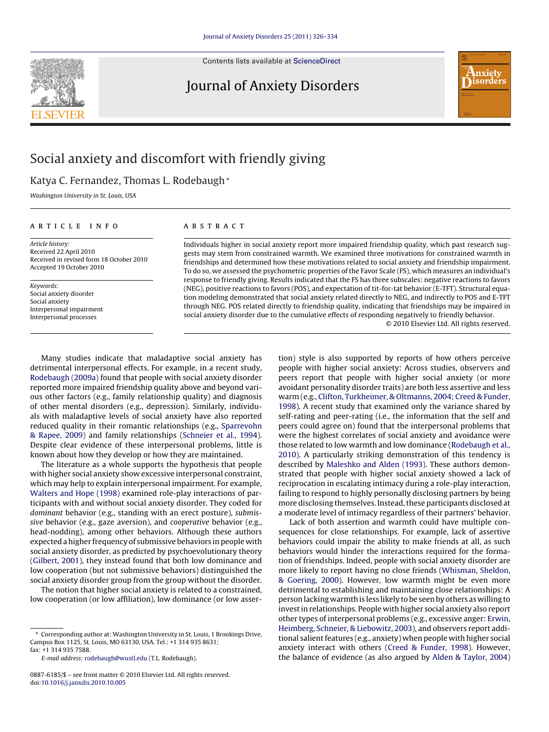Contents lists available at [ScienceDirect](http://www.sciencedirect.com/science/journal/08876185)

## Journal of Anxiety Disorders



Katya C. Fernandez, Thomas L. Rodebaugh<sup>∗</sup>

Washington University in St. Louis, USA

#### article info

Article history: Received 22 April 2010 Received in revised form 18 October 2010 Accepted 19 October 2010

Keywords: Social anxiety disorder Social anxiety Interpersonal impairment Interpersonal processes

## ABSTRACT

Individuals higher in social anxiety report more impaired friendship quality, which past research suggests may stem from constrained warmth. We examined three motivations for constrained warmth in friendships and determined how these motivations related to social anxiety and friendship impairment. To do so, we assessed the psychometric properties of the Favor Scale (FS), which measures an individual's response to friendly giving. Results indicated that the FS has three subscales: negative reactions to favors (NEG), positive reactions to favors (POS), and expectation of tit-for-tat behavior (E-TFT). Structural equation modeling demonstrated that social anxiety related directly to NEG, and indirectly to POS and E-TFT through NEG. POS related directly to friendship quality, indicating that friendships may be impaired in social anxiety disorder due to the cumulative effects of responding negatively to friendly behavior.

© 2010 Elsevier Ltd. All rights reserved.

Many studies indicate that maladaptive social anxiety has detrimental interpersonal effects. For example, in a recent study, [Rodebaugh \(2009a\)](#page--1-0) found that people with social anxiety disorder reported more impaired friendship quality above and beyond various other factors (e.g., family relationship quality) and diagnosis of other mental disorders (e.g., depression). Similarly, individuals with maladaptive levels of social anxiety have also reported reduced quality in their romantic relationships (e.g., [Sparrevohn](#page--1-0) [& Rapee, 2009\)](#page--1-0) and family relationships [\(Schneier et al., 1994\).](#page--1-0) Despite clear evidence of these interpersonal problems, little is known about how they develop or how they are maintained.

The literature as a whole supports the hypothesis that people with higher social anxiety show excessive interpersonal constraint, which may help to explain interpersonal impairment. For example, [Walters and Hope \(1998\)](#page--1-0) examined role-play interactions of participants with and without social anxiety disorder. They coded for dominant behavior (e.g., standing with an erect posture), submissive behavior (e.g., gaze aversion), and cooperative behavior (e.g., head-nodding), among other behaviors. Although these authors expected a higher frequency of submissive behaviors in people with social anxiety disorder, as predicted by psychoevolutionary theory ([Gilbert, 2001\),](#page--1-0) they instead found that both low dominance and low cooperation (but not submissive behaviors) distinguished the social anxiety disorder group from the group without the disorder.

The notion that higher social anxiety is related to a constrained, low cooperation (or low affiliation), low dominance (or low assertion) style is also supported by reports of how others perceive people with higher social anxiety: Across studies, observers and peers report that people with higher social anxiety (or more avoidant personality disorder traits) are both less assertive and less warm (e.g., [Clifton, Turkheimer, & Oltmanns, 2004; Creed & Funder,](#page--1-0) [1998\).](#page--1-0) A recent study that examined only the variance shared by self-rating and peer-rating (i.e., the information that the self and peers could agree on) found that the interpersonal problems that were the highest correlates of social anxiety and avoidance were those related to low warmth and low dominance ([Rodebaugh et al.,](#page--1-0) [2010\).](#page--1-0) A particularly striking demonstration of this tendency is described by [Maleshko and Alden \(1993\). T](#page--1-0)hese authors demonstrated that people with higher social anxiety showed a lack of reciprocation in escalating intimacy during a role-play interaction, failing to respond to highly personally disclosing partners by being more disclosing themselves. Instead, these participants disclosed at a moderate level of intimacy regardless of their partners' behavior.

Lack of both assertion and warmth could have multiple consequences for close relationships. For example, lack of assertive behaviors could impair the ability to make friends at all, as such behaviors would hinder the interactions required for the formation of friendships. Indeed, people with social anxiety disorder are more likely to report having no close friends ([Whisman, Sheldon,](#page--1-0) [& Goering, 2000\).](#page--1-0) However, low warmth might be even more detrimental to establishing and maintaining close relationships: A person lacking warmth is less likely to be seen by others as willing to invest in relationships. People with higher social anxiety also report other types of interpersonal problems (e.g., excessive anger: [Erwin,](#page--1-0) [Heimberg, Schneier, & Liebowitz, 2003\),](#page--1-0) and observers report additional salient features (e.g., anxiety) when people with higher social anxiety interact with others ([Creed & Funder, 1998\).](#page--1-0) However, the balance of evidence (as also argued by [Alden & Taylor, 2004\)](#page--1-0)



<sup>∗</sup> Corresponding author at: Washington University in St. Louis, 1 Brookings Drive, Campus Box 1125, St. Louis, MO 63130, USA. Tel.: +1 314 935 8631; fax: +1 314 935 7588.

E-mail address: [rodebaugh@wustl.edu](mailto:rodebaugh@wustl.edu) (T.L. Rodebaugh).

<sup>0887-6185/\$ –</sup> see front matter © 2010 Elsevier Ltd. All rights reserved. doi:[10.1016/j.janxdis.2010.10.005](dx.doi.org/10.1016/j.janxdis.2010.10.005)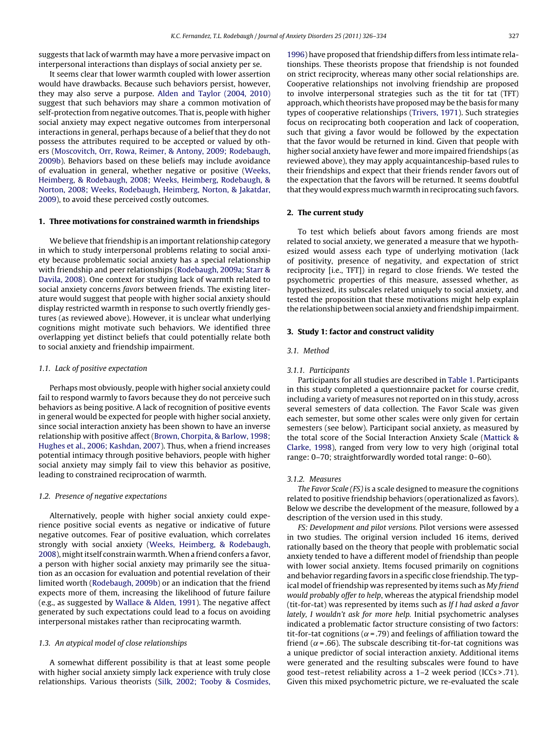suggests that lack of warmth may have a more pervasive impact on interpersonal interactions than displays of social anxiety per se.

It seems clear that lower warmth coupled with lower assertion would have drawbacks. Because such behaviors persist, however, they may also serve a purpose. [Alden and Taylor \(2004, 2010\)](#page--1-0) suggest that such behaviors may share a common motivation of self-protection from negative outcomes. That is, people with higher social anxiety may expect negative outcomes from interpersonal interactions in general, perhaps because of a belief that they do not possess the attributes required to be accepted or valued by others [\(Moscovitch, Orr, Rowa, Reimer, & Antony, 2009; Rodebaugh,](#page--1-0) [2009b\).](#page--1-0) Behaviors based on these beliefs may include avoidance of evaluation in general, whether negative or positive ([Weeks,](#page--1-0) [Heimberg, & Rodebaugh, 2008; Weeks, Heimberg, Rodebaugh, &](#page--1-0) [Norton, 2008; Weeks, Rodebaugh, Heimberg, Norton, & Jakatdar,](#page--1-0) [2009\),](#page--1-0) to avoid these perceived costly outcomes.

### **1. Three motivations for constrained warmth in friendships**

We believe that friendship is an important relationship category in which to study interpersonal problems relating to social anxiety because problematic social anxiety has a special relationship with friendship and peer relationships [\(Rodebaugh, 2009a; Starr &](#page--1-0) [Davila, 2008\).](#page--1-0) One context for studying lack of warmth related to social anxiety concerns favors between friends. The existing literature would suggest that people with higher social anxiety should display restricted warmth in response to such overtly friendly gestures (as reviewed above). However, it is unclear what underlying cognitions might motivate such behaviors. We identified three overlapping yet distinct beliefs that could potentially relate both to social anxiety and friendship impairment.

#### 1.1. Lack of positive expectation

Perhaps most obviously, people with higher social anxiety could fail to respond warmly to favors because they do not perceive such behaviors as being positive. A lack of recognition of positive events in general would be expected for people with higher social anxiety, since social interaction anxiety has been shown to have an inverse relationship with positive affect [\(Brown, Chorpita, & Barlow, 1998;](#page--1-0) [Hughes et al., 2006; Kashdan, 2007\).](#page--1-0) Thus, when a friend increases potential intimacy through positive behaviors, people with higher social anxiety may simply fail to view this behavior as positive, leading to constrained reciprocation of warmth.

#### 1.2. Presence of negative expectations

Alternatively, people with higher social anxiety could experience positive social events as negative or indicative of future negative outcomes. Fear of positive evaluation, which correlates strongly with social anxiety [\(Weeks, Heimberg, & Rodebaugh,](#page--1-0) [2008\),](#page--1-0) might itself constrain warmth.When a friend confers a favor, a person with higher social anxiety may primarily see the situation as an occasion for evaluation and potential revelation of their limited worth [\(Rodebaugh, 2009b\)](#page--1-0) or an indication that the friend expects more of them, increasing the likelihood of future failure (e.g., as suggested by [Wallace & Alden, 1991\).](#page--1-0) The negative affect generated by such expectations could lead to a focus on avoiding interpersonal mistakes rather than reciprocating warmth.

#### 1.3. An atypical model of close relationships

A somewhat different possibility is that at least some people with higher social anxiety simply lack experience with truly close relationships. Various theorists ([Silk, 2002; Tooby & Cosmides,](#page--1-0) [1996\) h](#page--1-0)ave proposed that friendship differs from less intimate relationships. These theorists propose that friendship is not founded on strict reciprocity, whereas many other social relationships are. Cooperative relationships not involving friendship are proposed to involve interpersonal strategies such as the tit for tat (TFT) approach, which theorists have proposed may be the basis for many types of cooperative relationships [\(Trivers, 1971\).](#page--1-0) Such strategies focus on reciprocating both cooperation and lack of cooperation, such that giving a favor would be followed by the expectation that the favor would be returned in kind. Given that people with higher social anxiety have fewer and more impaired friendships (as reviewed above), they may apply acquaintanceship-based rules to their friendships and expect that their friends render favors out of the expectation that the favors will be returned. It seems doubtful that they would express much warmth in reciprocating such favors.

#### **2. The current study**

To test which beliefs about favors among friends are most related to social anxiety, we generated a measure that we hypothesized would assess each type of underlying motivation (lack of positivity, presence of negativity, and expectation of strict reciprocity [i.e., TFT]) in regard to close friends. We tested the psychometric properties of this measure, assessed whether, as hypothesized, its subscales related uniquely to social anxiety, and tested the proposition that these motivations might help explain the relationship between social anxiety and friendship impairment.

#### **3. Study 1: factor and construct validity**

#### 3.1. Method

#### 3.1.1. Participants

Participants for all studies are described in [Table 1. P](#page--1-0)articipants in this study completed a questionnaire packet for course credit, including a variety of measures not reported on in this study, across several semesters of data collection. The Favor Scale was given each semester, but some other scales were only given for certain semesters (see below). Participant social anxiety, as measured by the total score of the Social Interaction Anxiety Scale ([Mattick &](#page--1-0) [Clarke, 1998\),](#page--1-0) ranged from very low to very high (original total range: 0–70; straightforwardly worded total range: 0–60).

#### 3.1.2. Measures

The Favor Scale (FS) is a scale designed to measure the cognitions related to positive friendship behaviors (operationalized as favors). Below we describe the development of the measure, followed by a description of the version used in this study.

FS: Development and pilot versions. Pilot versions were assessed in two studies. The original version included 16 items, derived rationally based on the theory that people with problematic social anxiety tended to have a different model of friendship than people with lower social anxiety. Items focused primarily on cognitions and behavior regarding favors in a specific close friendship. The typical model of friendship was represented by items such as My friend would probably offer to help, whereas the atypical friendship model (tit-for-tat) was represented by items such as If I had asked a favor lately, I wouldn't ask for more help. Initial psychometric analyses indicated a problematic factor structure consisting of two factors: tit-for-tat cognitions ( $\alpha$  = .79) and feelings of affiliation toward the friend ( $\alpha$ =.66). The subscale describing tit-for-tat cognitions was a unique predictor of social interaction anxiety. Additional items were generated and the resulting subscales were found to have good test–retest reliability across a 1–2 week period (ICCs > .71). Given this mixed psychometric picture, we re-evaluated the scale